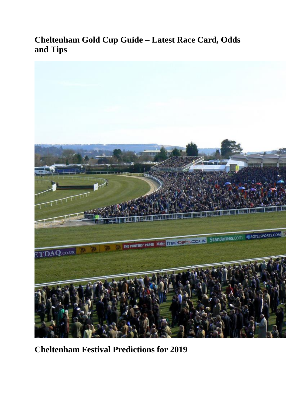# **Cheltenham Gold Cup Guide – Latest Race Card, Odds and Tips**



**Cheltenham Festival Predictions for 2019**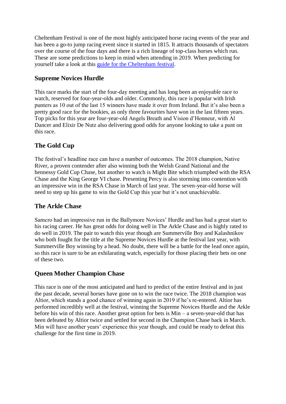Cheltenham Festival is one of the most highly anticipated horse racing events of the year and has been a go-to jump racing event since it started in 1815. It attracts thousands of spectators over the course of the four days and there is a rich lineage of top-class horses which run. These are some predictions to keep in mind when attending in 2019. When predicting for yourself take a look at this [guide for the Cheltenham festival.](https://www.timeform.com/cheltenham-festival)

## **Supreme Novices Hurdle**

This race marks the start of the four-day meeting and has long been an enjoyable race to watch, reserved for four-year-olds and older. Commonly, this race is popular with Irish punters as 10 out of the last 15 winners have made it over from Ireland. But it's also been a pretty good race for the bookies, as only three favourites have won in the last fifteen years. Top picks for this year are four-year-old Angels Breath and Vision d'Honneur, with Al Dancer and Elixir De Nutz also delivering good odds for anyone looking to take a punt on this race.

## **The Gold Cup**

The festival's headline race can have a number of outcomes. The 2018 champion, Native River, a proven contender after also winning both the Welsh Grand National and the hennessy Gold Cup Chase, but another to watch is Might Bite which triumphed with the RSA Chase and the King George VI chase. Presenting Percy is also storming into contention with an impressive win in the RSA Chase in March of last year. The seven-year-old horse will need to step up his game to win the Gold Cup this year but it's not unachievable.

### **The Arkle Chase**

Samcro had an impressive run in the Ballymore Novices' Hurdle and has had a great start to his racing career. He has great odds for doing well in The Arkle Chase and is highly rated to do well in 2019. The pair to watch this year though are Summerville Boy and Kalashnikov who both fought for the title at the Supreme Novices Hurdle at the festival last year, with Summerville Boy winning by a head. No doubt, there will be a battle for the lead once again, so this race is sure to be an exhilarating watch, especially for those placing their bets on one of these two.

### **Queen Mother Champion Chase**

This race is one of the most anticipated and hard to predict of the entire festival and in just the past decade, several horses have gone on to win the race twice. The 2018 champion was Altior, which stands a good chance of winning again in 2019 if he's re-entered. Altior has performed incredibly well at the festival, winning the Supreme Novices Hurdle and the Arkle before his win of this race. Another great option for bets is Min – a seven-year-old that has been defeated by Altior twice and settled for second in the Champion Chase back in March. Min will have another years' experience this year though, and could be ready to defeat this challenge for the first time in 2019.